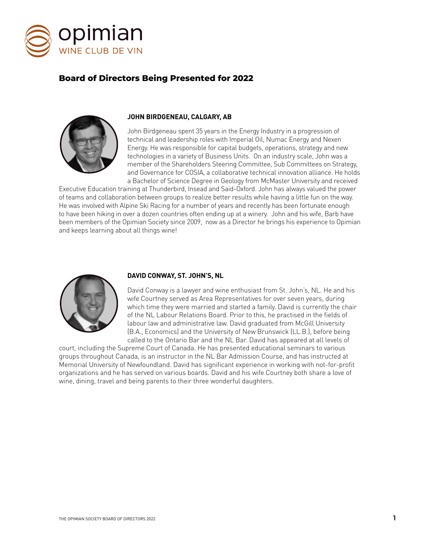

# **Board of Directors Being Presented for 2022**



# **JOHN BIRDGENEAU, CALGARY, AB**

John Birdgeneau spent 35 years in the Energy Industry in a progression of technical and leadership roles with Imperial Oil, Numac Energy and Nexen Energy. He was responsible for capital budgets, operations, strategy and new technologies in a variety of Business Units. On an industry scale, John was a member of the Shareholders Steering Committee, Sub Committees on Strategy, and Governance for COSIA, a collaborative technical innovation alliance. He holds a Bachelor of Science Degree in Geology from McMaster University and received

Executive Education training at Thunderbird, Insead and Said-Oxford. John has always valued the power of teams and collaboration between groups to realize better results while having a little fun on the way. He was involved with Alpine Ski Racing for a number of years and recently has been fortunate enough to have been hiking in over a dozen countries often ending up at a winery. John and his wife, Barb have been members of the Opimian Society since 2009, now as a Director he brings his experience to Opimian and keeps learning about all things wine!



# **DAVID CONWAY, ST. JOHN'S, NL**

David Conway is a lawyer and wine enthusiast from St. John's, NL. He and his wife Courtney served as Area Representatives for over seven years, during which time they were married and started a family. David is currently the chair of the NL Labour Relations Board. Prior to this, he practised in the fields of labour law and administrative law. David graduated from McGill University (B.A., Economics) and the University of New Brunswick (LL.B.), before being called to the Ontario Bar and the NL Bar. David has appeared at all levels of

court, including the Supreme Court of Canada. He has presented educational seminars to various groups throughout Canada, is an instructor in the NL Bar Admission Course, and has instructed at Memorial University of Newfoundland. David has significant experience in working with not-for-profit organizations and he has served on various boards. David and his wife Courtney both share a love of wine, dining, travel and being parents to their three wonderful daughters.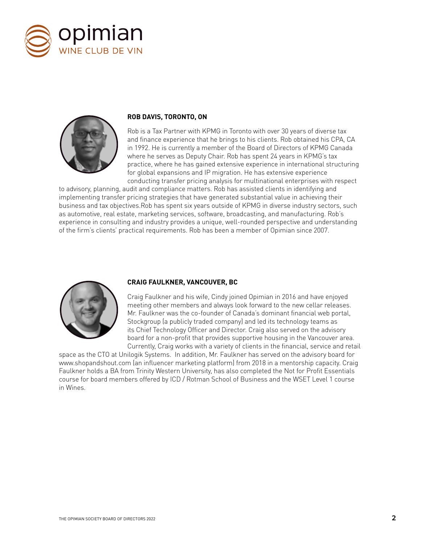



# **ROB DAVIS, TORONTO, ON**

Rob is a Tax Partner with KPMG in Toronto with over 30 years of diverse tax and finance experience that he brings to his clients. Rob obtained his CPA, CA in 1992. He is currently a member of the Board of Directors of KPMG Canada where he serves as Deputy Chair. Rob has spent 24 years in KPMG's tax practice, where he has gained extensive experience in international structuring for global expansions and IP migration. He has extensive experience conducting transfer pricing analysis for multinational enterprises with respect

to advisory, planning, audit and compliance matters. Rob has assisted clients in identifying and implementing transfer pricing strategies that have generated substantial value in achieving their business and tax objectives.Rob has spent six years outside of KPMG in diverse industry sectors, such as automotive, real estate, marketing services, software, broadcasting, and manufacturing. Rob's experience in consulting and industry provides a unique, well-rounded perspective and understanding of the firm's clients' practical requirements. Rob has been a member of Opimian since 2007.



# **CRAIG FAULKNER, VANCOUVER, BC**

Craig Faulkner and his wife, Cindy joined Opimian in 2016 and have enjoyed meeting other members and always look forward to the new cellar releases. Mr. Faulkner was the co-founder of Canada's dominant financial web portal, Stockgroup (a publicly traded company) and led its technology teams as its Chief Technology Officer and Director. Craig also served on the advisory board for a non-profit that provides supportive housing in the Vancouver area. Currently, Craig works with a variety of clients in the financial, service and retail

space as the CTO at Unilogik Systems. In addition, Mr. Faulkner has served on the advisory board for www.shopandshout.com (an influencer marketing platform) from 2018 in a mentorship capacity. Craig Faulkner holds a BA from Trinity Western University, has also completed the Not for Profit Essentials course for board members offered by ICD / Rotman School of Business and the WSET Level 1 course in Wines.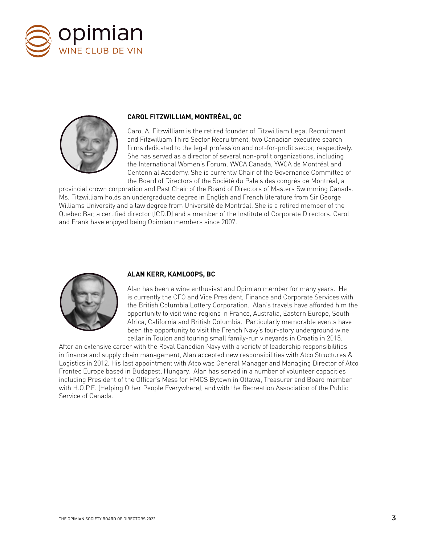



# **CAROL FITZWILLIAM, MONTRÉAL, QC**

Carol A. Fitzwilliam is the retired founder of Fitzwilliam Legal Recruitment and Fitzwilliam Third Sector Recruitment, two Canadian executive search firms dedicated to the legal profession and not-for-profit sector, respectively. She has served as a director of several non-profit organizations, including the International Women's Forum, YWCA Canada, YWCA de Montréal and Centennial Academy. She is currently Chair of the Governance Committee of the Board of Directors of the Société du Palais des congrès de Montréal, a

provincial crown corporation and Past Chair of the Board of Directors of Masters Swimming Canada. Ms. Fitzwilliam holds an undergraduate degree in English and French literature from Sir George Williams University and a law degree from Université de Montréal. She is a retired member of the Quebec Bar, a certified director (ICD.D) and a member of the Institute of Corporate Directors. Carol and Frank have enjoyed being Opimian members since 2007.



#### **ALAN KERR, KAMLOOPS, BC**

Alan has been a wine enthusiast and Opimian member for many years. He is currently the CFO and Vice President, Finance and Corporate Services with the British Columbia Lottery Corporation. Alan's travels have afforded him the opportunity to visit wine regions in France, Australia, Eastern Europe, South Africa, California and British Columbia. Particularly memorable events have been the opportunity to visit the French Navy's four-story underground wine cellar in Toulon and touring small family-run vineyards in Croatia in 2015.

After an extensive career with the Royal Canadian Navy with a variety of leadership responsibilities in finance and supply chain management, Alan accepted new responsibilities with Atco Structures & Logistics in 2012. His last appointment with Atco was General Manager and Managing Director of Atco Frontec Europe based in Budapest, Hungary. Alan has served in a number of volunteer capacities including President of the Officer's Mess for HMCS Bytown in Ottawa, Treasurer and Board member with H.O.P.E. (Helping Other People Everywhere), and with the Recreation Association of the Public Service of Canada.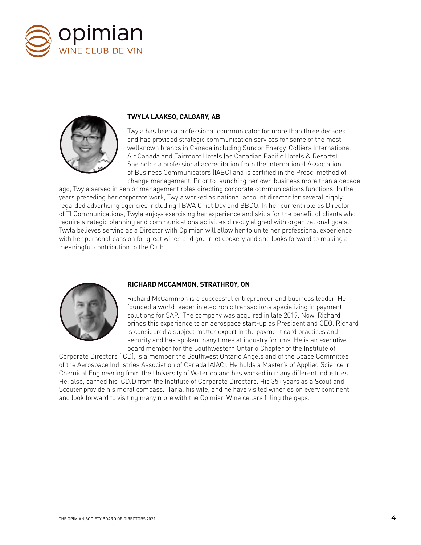



# **TWYLA LAAKSO, CALGARY, AB**

Twyla has been a professional communicator for more than three decades and has provided strategic communication services for some of the most wellknown brands in Canada including Suncor Energy, Colliers International, Air Canada and Fairmont Hotels (as Canadian Pacific Hotels & Resorts). She holds a professional accreditation from the International Association of Business Communicators (IABC) and is certified in the Prosci method of change management. Prior to launching her own business more than a decade

ago, Twyla served in senior management roles directing corporate communications functions. In the years preceding her corporate work, Twyla worked as national account director for several highly regarded advertising agencies including TBWA Chiat Day and BBDO. In her current role as Director of TLCommunications, Twyla enjoys exercising her experience and skills for the benefit of clients who require strategic planning and communications activities directly aligned with organizational goals. Twyla believes serving as a Director with Opimian will allow her to unite her professional experience with her personal passion for great wines and gourmet cookery and she looks forward to making a meaningful contribution to the Club.



#### **RICHARD MCCAMMON, STRATHROY, ON**

Richard McCammon is a successful entrepreneur and business leader. He founded a world leader in electronic transactions specializing in payment solutions for SAP. The company was acquired in late 2019. Now, Richard brings this experience to an aerospace start-up as President and CEO. Richard is considered a subject matter expert in the payment card practices and security and has spoken many times at industry forums. He is an executive board member for the Southwestern Ontario Chapter of the Institute of

Corporate Directors (ICD), is a member the Southwest Ontario Angels and of the Space Committee of the Aerospace Industries Association of Canada (AIAC). He holds a Master's of Applied Science in Chemical Engineering from the University of Waterloo and has worked in many different industries. He, also, earned his ICD.D from the Institute of Corporate Directors. His 35+ years as a Scout and Scouter provide his moral compass. Tarja, his wife, and he have visited wineries on every continent and look forward to visiting many more with the Opimian Wine cellars filling the gaps.